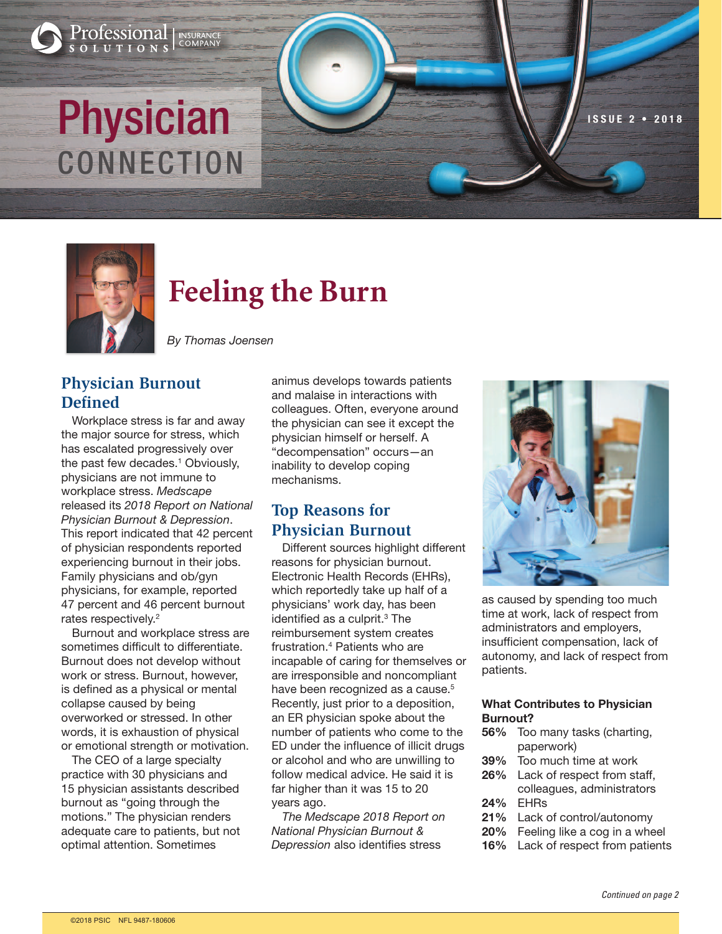# Physician Nissue 2 • 2018 CONNECTION

**INSURANCE**<br>COMPANY

Professional

UTIONS



# **Feeling the Burn**

By Thomas Joensen

# **Physician Burnout Defined**

Workplace stress is far and away the major source for stress, which has escalated progressively over the past few decades. <sup>1</sup> Obviously, physicians are not immune to workplace stress. Medscape released its 2018 Report on National Physician Burnout & Depression. This report indicated that 42 percent of physician respondents reported experiencing burnout in their jobs. Family physicians and ob/gyn physicians, for example, reported 47 percent and 46 percent burnout rates respectively. 2

Burnout and workplace stress are sometimes difficult to differentiate. Burnout does not develop without work or stress. Burnout, however, is defined as a physical or mental collapse caused by being overworked or stressed. In other words, it is exhaustion of physical or emotional strength or motivation.

The CEO of a large specialty practice with 30 physicians and 15 physician assistants described burnout as "going through the motions." The physician renders adequate care to patients, but not optimal attention. Sometimes

animus develops towards patients and malaise in interactions with colleagues. Often, everyone around the physician can see it except the physician himself or herself. A "decompensation" occurs—an inability to develop coping mechanisms.

# **Top Reasons for Physician Burnout**

Different sources highlight different reasons for physician burnout. Electronic Health Records (EHRs), which reportedly take up half of a physicians' work day, has been identified as a culprit. <sup>3</sup> The reimbursement system creates frustration. <sup>4</sup> Patients who are incapable of caring for themselves or are irresponsible and noncompliant have been recognized as a cause. 5 Recently, just prior to a deposition, an ER physician spoke about the number of patients who come to the ED under the influence of illicit drugs or alcohol and who are unwilling to follow medical advice. He said it is far higher than it was 15 to 20 years ago.

The Medscape 2018 Report on National Physician Burnout & Depression also identifies stress



as caused by spending too much time at work, lack of respect from administrators and employers, insufficient compensation, lack of autonomy, and lack of respect from patients.

#### What Contributes to Physician Burnout?

- 56% Too many tasks (charting, paperwork)
- 39% Too much time at work
- 26% Lack of respect from staff, colleagues, administrators 24% EHRs
- 21% Lack of control/autonomy
- 20% Feeling like a cog in a wheel
- 16% Lack of respect from patients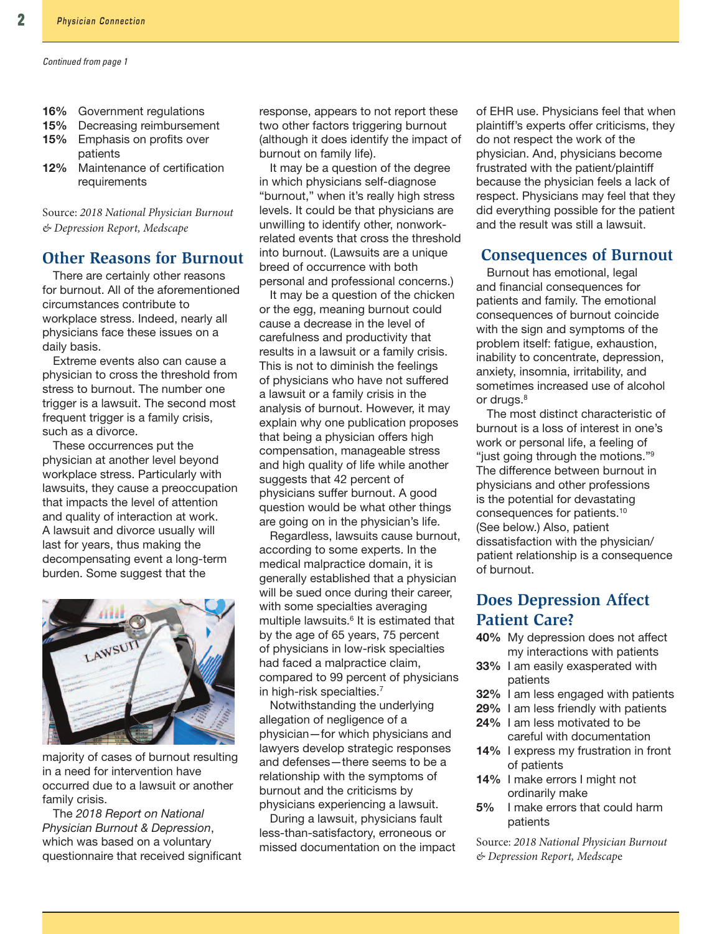- 16% Government regulations
- 15% Decreasing reimbursement
- 15% Emphasis on profits over **patients**
- 12% Maintenance of certification requirements

Source: 2018 National Physician Burnout & Depression Report, Medscape

#### **Other Reasons for Burnout**

There are certainly other reasons for burnout. All of the aforementioned circumstances contribute to workplace stress. Indeed, nearly all physicians face these issues on a daily basis.

Extreme events also can cause a physician to cross the threshold from stress to burnout. The number one trigger is a lawsuit. The second most frequent trigger is a family crisis, such as a divorce.

These occurrences put the physician at another level beyond workplace stress. Particularly with lawsuits, they cause a preoccupation that impacts the level of attention and quality of interaction at work. A lawsuit and divorce usually will last for years, thus making the decompensating event a long-term burden. Some suggest that the



majority of cases of burnout resulting in a need for intervention have occurred due to a lawsuit or another family crisis.

The 2018 Report on National Physician Burnout & Depression, which was based on a voluntary questionnaire that received significant response, appears to not report these two other factors triggering burnout (although it does identify the impact of burnout on family life).

It may be a question of the degree in which physicians self-diagnose "burnout," when it's really high stress levels. It could be that physicians are unwilling to identify other, nonworkrelated events that cross the threshold into burnout. (Lawsuits are a unique breed of occurrence with both personal and professional concerns.)

It may be a question of the chicken or the egg, meaning burnout could cause a decrease in the level of carefulness and productivity that results in a lawsuit or a family crisis. This is not to diminish the feelings of physicians who have not suffered a lawsuit or a family crisis in the analysis of burnout. However, it may explain why one publication proposes that being a physician offers high compensation, manageable stress and high quality of life while another suggests that 42 percent of physicians suffer burnout. A good question would be what other things are going on in the physician's life.

Regardless, lawsuits cause burnout, according to some experts. In the medical malpractice domain, it is generally established that a physician will be sued once during their career, with some specialties averaging multiple lawsuits. <sup>6</sup> It is estimated that by the age of 65 years, 75 percent of physicians in low-risk specialties had faced a malpractice claim, compared to 99 percent of physicians in high-risk specialties. 7

Notwithstanding the underlying allegation of negligence of a physician—for which physicians and lawyers develop strategic responses and defenses—there seems to be a relationship with the symptoms of burnout and the criticisms by physicians experiencing a lawsuit.

During a lawsuit, physicians fault less-than-satisfactory, erroneous or missed documentation on the impact of EHR use. Physicians feel that when plaintiff's experts offer criticisms, they do not respect the work of the physician. And, physicians become frustrated with the patient/plaintiff because the physician feels a lack of respect. Physicians may feel that they did everything possible for the patient and the result was still a lawsuit.

#### **Consequences of Burnout**

Burnout has emotional, legal and financial consequences for patients and family. The emotional consequences of burnout coincide with the sign and symptoms of the problem itself: fatigue, exhaustion, inability to concentrate, depression, anxiety, insomnia, irritability, and sometimes increased use of alcohol or drugs.<sup>8</sup>

The most distinct characteristic of burnout is a loss of interest in one's work or personal life, a feeling of "just going through the motions."<sup>9</sup> The difference between burnout in physicians and other professions is the potential for devastating consequences for patients. 10 (See below.) Also, patient dissatisfaction with the physician/ patient relationship is a consequence of burnout.

## **Does Depression Affect Patient Care?**

- 40% My depression does not affect my interactions with patients
- 33% I am easily exasperated with patients
- 32% I am less engaged with patients
- 29% I am less friendly with patients
- 24% I am less motivated to be careful with documentation
- 14% I express my frustration in front of patients
- 14% I make errors I might not ordinarily make
- 5% I make errors that could harm patients

Source: 2018 National Physician Burnout & Depression Report, Medscape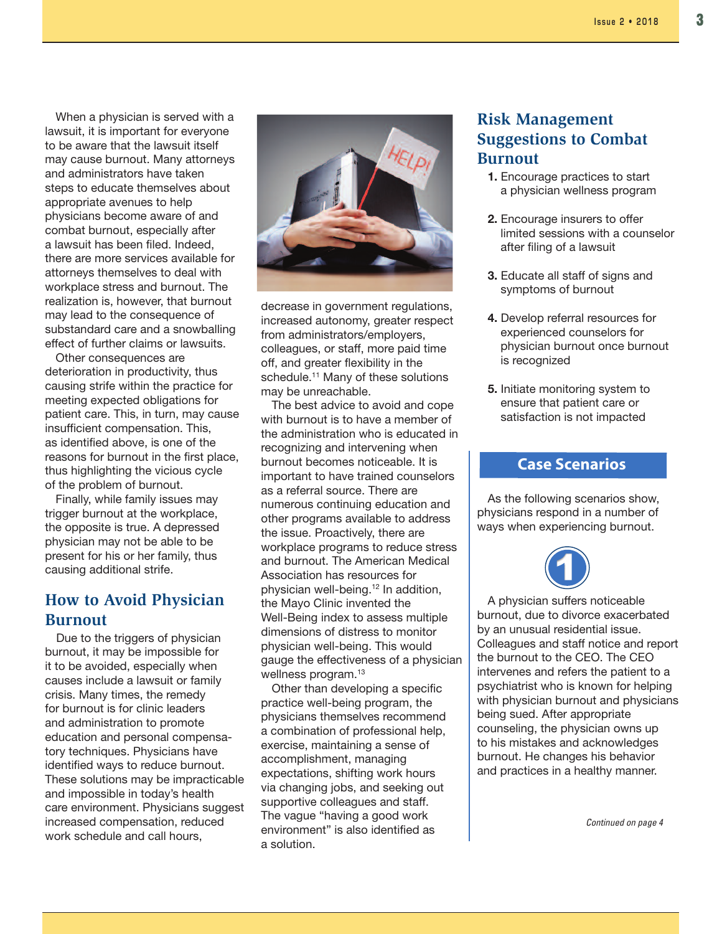When a physician is served with a lawsuit, it is important for everyone to be aware that the lawsuit itself may cause burnout. Many attorneys and administrators have taken steps to educate themselves about appropriate avenues to help physicians become aware of and combat burnout, especially after a lawsuit has been filed. Indeed, there are more services available for attorneys themselves to deal with workplace stress and burnout. The realization is, however, that burnout may lead to the consequence of substandard care and a snowballing effect of further claims or lawsuits.

Other consequences are deterioration in productivity, thus causing strife within the practice for meeting expected obligations for patient care. This, in turn, may cause insufficient compensation. This, as identified above, is one of the reasons for burnout in the first place, thus highlighting the vicious cycle of the problem of burnout.

Finally, while family issues may trigger burnout at the workplace, the opposite is true. A depressed physician may not be able to be present for his or her family, thus causing additional strife.

#### **How to Avoid Physician Burnout**

Due to the triggers of physician burnout, it may be impossible for it to be avoided, especially when causes include a lawsuit or family crisis. Many times, the remedy for burnout is for clinic leaders and administration to promote education and personal compensatory techniques. Physicians have identified ways to reduce burnout. These solutions may be impracticable and impossible in today's health care environment. Physicians suggest increased compensation, reduced work schedule and call hours,



decrease in government regulations, increased autonomy, greater respect from administrators/employers, colleagues, or staff, more paid time off, and greater flexibility in the schedule. <sup>11</sup> Many of these solutions may be unreachable.

The best advice to avoid and cope with burnout is to have a member of the administration who is educated in recognizing and intervening when burnout becomes noticeable. It is important to have trained counselors as a referral source. There are numerous continuing education and other programs available to address the issue. Proactively, there are workplace programs to reduce stress and burnout. The American Medical Association has resources for physician well-being. <sup>12</sup> In addition, the Mayo Clinic invented the Well-Being index to assess multiple dimensions of distress to monitor physician well-being. This would gauge the effectiveness of a physician wellness program. 13

Other than developing a specific practice well-being program, the physicians themselves recommend a combination of professional help, exercise, maintaining a sense of accomplishment, managing expectations, shifting work hours via changing jobs, and seeking out supportive colleagues and staff. The vague "having a good work environment" is also identified as a solution.

## **Risk Management Suggestions to Combat Burnout**

- 1. Encourage practices to start a physician wellness program
- 2. Encourage insurers to offer limited sessions with a counselor after filing of a lawsuit
- 3. Educate all staff of signs and symptoms of burnout
- 4. Develop referral resources for experienced counselors for physician burnout once burnout is recognized
- 5. Initiate monitoring system to ensure that patient care or satisfaction is not impacted

#### **Case Scenarios**

As the following scenarios show, physicians respond in a number of ways when experiencing burnout.



A physician suffers noticeable burnout, due to divorce exacerbated by an unusual residential issue. Colleagues and staff notice and report the burnout to the CEO. The CEO intervenes and refers the patient to a psychiatrist who is known for helping with physician burnout and physicians being sued. After appropriate counseling, the physician owns up to his mistakes and acknowledges burnout. He changes his behavior and practices in a healthy manner.

Continued on page 4